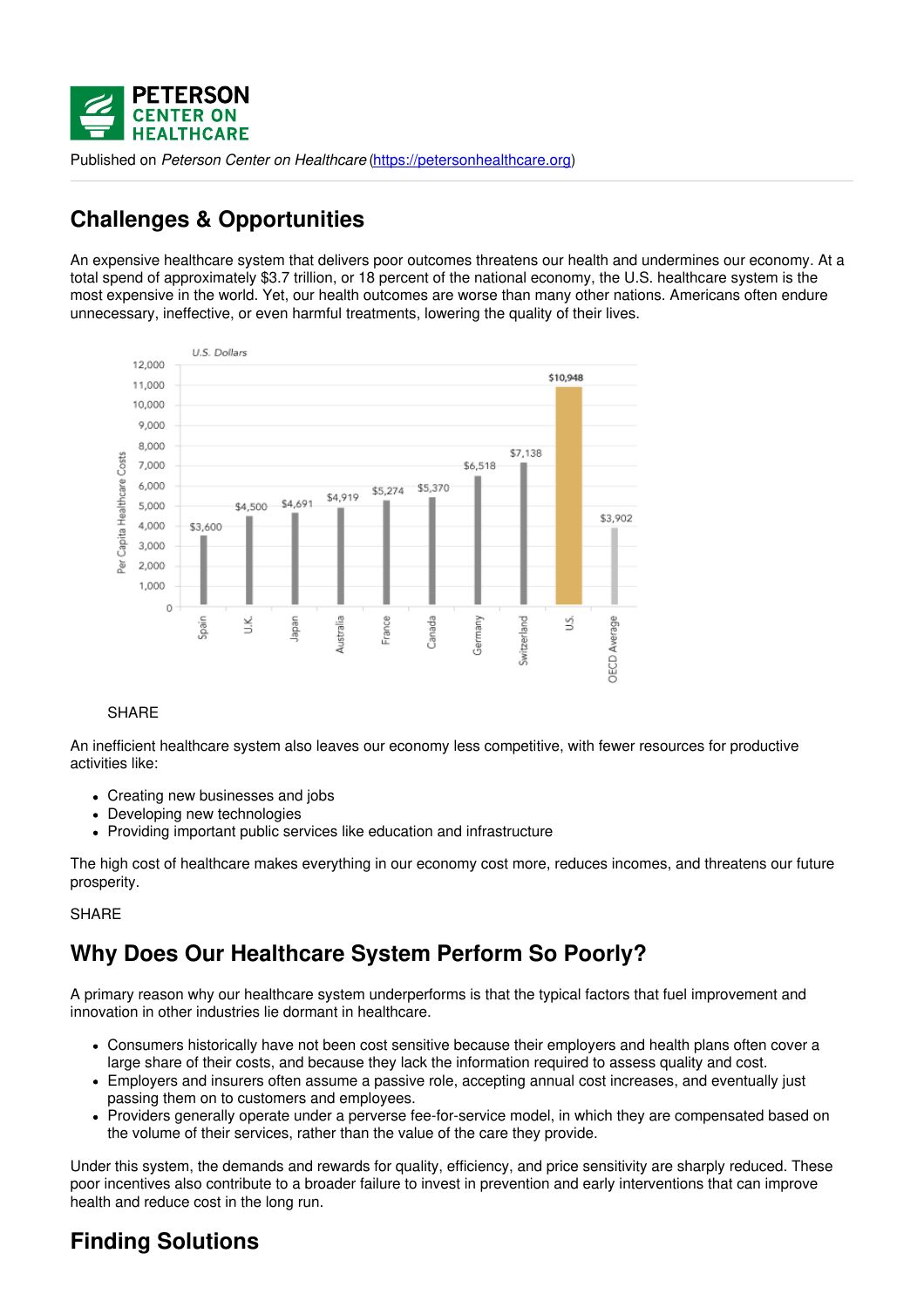

Published on *Peterson Center on Healthcare* [\(https://petersonhealthcare.org](https://petersonhealthcare.org))

## **Challenges & Opportunities**

An expensive healthcare system that delivers poor outcomes threatens our health and undermines our economy. At a total spend of approximately \$3.7 trillion, or 18 percent of the national economy, the U.S. healthcare system is the most expensive in the world. Yet, our health outcomes are worse than many other nations. Americans often endure unnecessary, ineffective, or even harmful treatments, lowering the quality of their lives.



#### SHARE

An inefficient healthcare system also leaves our economy less competitive, with fewer resources for productive activities like:

- Creating new businesses and jobs
- Developing new technologies
- Providing important public services like education and infrastructure

The high cost of healthcare makes everything in our economy cost more, reduces incomes, and threatens our future prosperity.

#### **SHARE**

### **Why Does Our Healthcare System Perform So Poorly?**

A primary reason why our healthcare system underperforms is that the typical factors that fuel improvement and innovation in other industries lie dormant in healthcare.

- Consumers historically have not been cost sensitive because their employers and health plans often cover a large share of their costs, and because they lack the information required to assess quality and cost.
- Employers and insurers often assume a passive role, accepting annual cost increases, and eventually just passing them on to customers and employees.
- Providers generally operate under a perverse fee-for-service model, in which they are compensated based on the volume of their services, rather than the value of the care they provide.

Under this system, the demands and rewards for quality, efficiency, and price sensitivity are sharply reduced. These poor incentives also contribute to a broader failure to invest in prevention and early interventions that can improve health and reduce cost in the long run.

### **Finding Solutions**